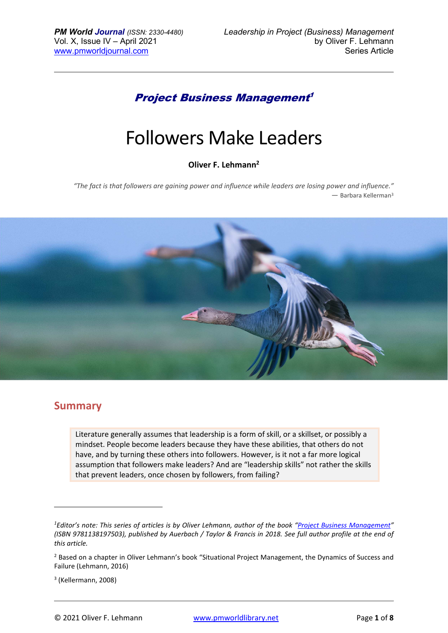## Project Business Management 1

# Followers Make Leaders

#### **Oliver F. Lehmann<sup>2</sup>**

*"The fact is that followers are gaining power and influence while leaders are losing power and influence." ―* Barbara Kellerman<sup>3</sup>



### **Summary**

Literature generally assumes that leadership is a form of skill, or a skillset, or possibly a mindset. People become leaders because they have these abilities, that others do not have, and by turning these others into followers. However, is it not a far more logical assumption that followers make leaders? And are "leadership skills" not rather the skills that prevent leaders, once chosen by followers, from failing?

*<sup>1</sup>Editor's note: This series of articles is by Oliver Lehmann, author of the book "Project Business Management" (ISBN 9781138197503), published by Auerbach / Taylor & Francis in 2018. See full author profile at the end of this article.*

<sup>&</sup>lt;sup>2</sup> Based on a chapter in Oliver Lehmann's book "Situational Project Management, the Dynamics of Success and Failure (Lehmann, 2016)

<sup>3</sup> (Kellermann, 2008)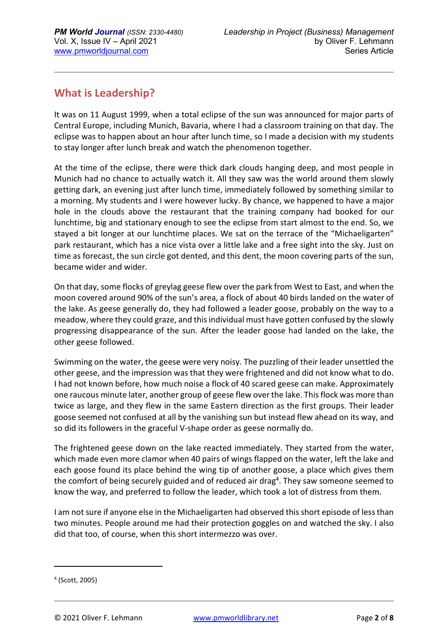## **What is Leadership?**

It was on 11 August 1999, when a total eclipse of the sun was announced for major parts of Central Europe, including Munich, Bavaria, where I had a classroom training on that day. The eclipse was to happen about an hour after lunch time, so I made a decision with my students to stay longer after lunch break and watch the phenomenon together.

At the time of the eclipse, there were thick dark clouds hanging deep, and most people in Munich had no chance to actually watch it. All they saw was the world around them slowly getting dark, an evening just after lunch time, immediately followed by something similar to a morning. My students and I were however lucky. By chance, we happened to have a major hole in the clouds above the restaurant that the training company had booked for our lunchtime, big and stationary enough to see the eclipse from start almost to the end. So, we stayed a bit longer at our lunchtime places. We sat on the terrace of the "Michaeligarten" park restaurant, which has a nice vista over a little lake and a free sight into the sky. Just on time as forecast, the sun circle got dented, and this dent, the moon covering parts of the sun, became wider and wider.

On that day, some flocks of greylag geese flew over the park from West to East, and when the moon covered around 90% of the sun's area, a flock of about 40 birds landed on the water of the lake. As geese generally do, they had followed a leader goose, probably on the way to a meadow, where they could graze, and this individual must have gotten confused by the slowly progressing disappearance of the sun. After the leader goose had landed on the lake, the other geese followed.

Swimming on the water, the geese were very noisy. The puzzling of their leader unsettled the other geese, and the impression was that they were frightened and did not know what to do. I had not known before, how much noise a flock of 40 scared geese can make. Approximately one raucous minute later, another group of geese flew over the lake. This flock was more than twice as large, and they flew in the same Eastern direction as the first groups. Their leader goose seemed not confused at all by the vanishing sun but instead flew ahead on its way, and so did its followers in the graceful V-shape order as geese normally do.

The frightened geese down on the lake reacted immediately. They started from the water, which made even more clamor when 40 pairs of wings flapped on the water, left the lake and each goose found its place behind the wing tip of another goose, a place which gives them the comfort of being securely guided and of reduced air drag<sup>4</sup>. They saw someone seemed to know the way, and preferred to follow the leader, which took a lot of distress from them.

I am not sure if anyone else in the Michaeligarten had observed this short episode of less than two minutes. People around me had their protection goggles on and watched the sky. I also did that too, of course, when this short intermezzo was over.

<sup>4</sup> (Scott, 2005)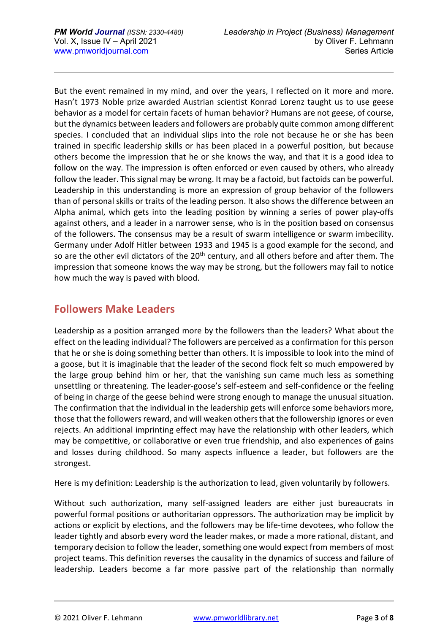But the event remained in my mind, and over the years, I reflected on it more and more. Hasn't 1973 Noble prize awarded Austrian scientist Konrad Lorenz taught us to use geese behavior as a model for certain facets of human behavior? Humans are not geese, of course, but the dynamics between leaders and followers are probably quite common among different species. I concluded that an individual slips into the role not because he or she has been trained in specific leadership skills or has been placed in a powerful position, but because others become the impression that he or she knows the way, and that it is a good idea to follow on the way. The impression is often enforced or even caused by others, who already follow the leader. This signal may be wrong. It may be a factoid, but factoids can be powerful. Leadership in this understanding is more an expression of group behavior of the followers than of personal skills or traits of the leading person. It also shows the difference between an Alpha animal, which gets into the leading position by winning a series of power play-offs against others, and a leader in a narrower sense, who is in the position based on consensus of the followers. The consensus may be a result of swarm intelligence or swarm imbecility. Germany under Adolf Hitler between 1933 and 1945 is a good example for the second, and so are the other evil dictators of the 20<sup>th</sup> century, and all others before and after them. The impression that someone knows the way may be strong, but the followers may fail to notice how much the way is paved with blood.

## **Followers Make Leaders**

Leadership as a position arranged more by the followers than the leaders? What about the effect on the leading individual? The followers are perceived as a confirmation for this person that he or she is doing something better than others. It is impossible to look into the mind of a goose, but it is imaginable that the leader of the second flock felt so much empowered by the large group behind him or her, that the vanishing sun came much less as something unsettling or threatening. The leader-goose's self-esteem and self-confidence or the feeling of being in charge of the geese behind were strong enough to manage the unusual situation. The confirmation that the individual in the leadership gets will enforce some behaviors more, those that the followers reward, and will weaken others that the followership ignores or even rejects. An additional imprinting effect may have the relationship with other leaders, which may be competitive, or collaborative or even true friendship, and also experiences of gains and losses during childhood. So many aspects influence a leader, but followers are the strongest.

Here is my definition: Leadership is the authorization to lead, given voluntarily by followers.

Without such authorization, many self-assigned leaders are either just bureaucrats in powerful formal positions or authoritarian oppressors. The authorization may be implicit by actions or explicit by elections, and the followers may be life-time devotees, who follow the leader tightly and absorb every word the leader makes, or made a more rational, distant, and temporary decision to follow the leader, something one would expect from members of most project teams. This definition reverses the causality in the dynamics of success and failure of leadership. Leaders become a far more passive part of the relationship than normally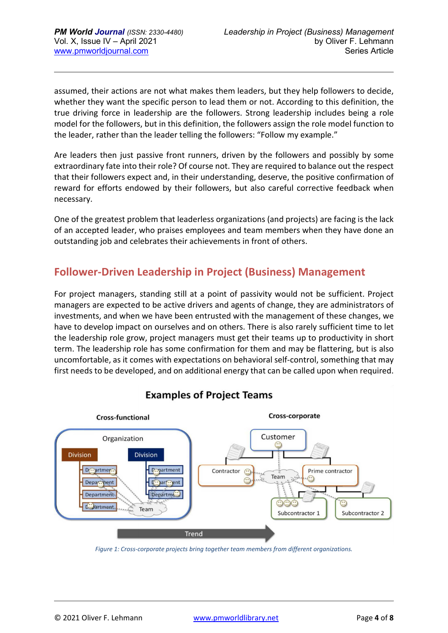assumed, their actions are not what makes them leaders, but they help followers to decide, whether they want the specific person to lead them or not. According to this definition, the true driving force in leadership are the followers. Strong leadership includes being a role model for the followers, but in this definition, the followers assign the role model function to the leader, rather than the leader telling the followers: "Follow my example."

Are leaders then just passive front runners, driven by the followers and possibly by some extraordinary fate into their role? Of course not. They are required to balance out the respect that their followers expect and, in their understanding, deserve, the positive confirmation of reward for efforts endowed by their followers, but also careful corrective feedback when necessary.

One of the greatest problem that leaderless organizations (and projects) are facing is the lack of an accepted leader, who praises employees and team members when they have done an outstanding job and celebrates their achievements in front of others.

## **Follower-Driven Leadership in Project (Business) Management**

For project managers, standing still at a point of passivity would not be sufficient. Project managers are expected to be active drivers and agents of change, they are administrators of investments, and when we have been entrusted with the management of these changes, we have to develop impact on ourselves and on others. There is also rarely sufficient time to let the leadership role grow, project managers must get their teams up to productivity in short term. The leadership role has some confirmation for them and may be flattering, but is also uncomfortable, as it comes with expectations on behavioral self-control, something that may first needs to be developed, and on additional energy that can be called upon when required.



### **Examples of Project Teams**

*Figure 1: Cross-corporate projects bring together team members from different organizations.*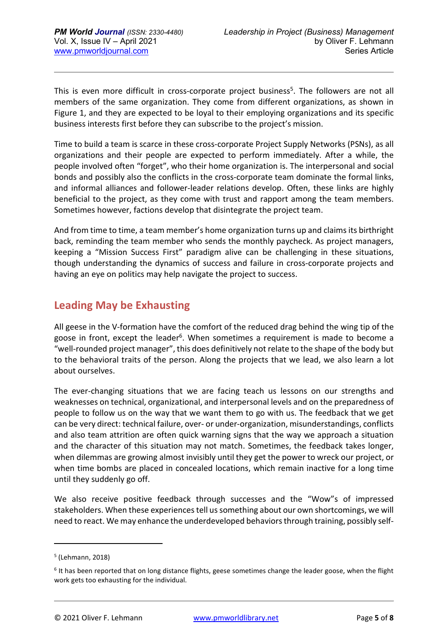This is even more difficult in cross-corporate project business<sup>5</sup>. The followers are not all members of the same organization. They come from different organizations, as shown in Figure 1, and they are expected to be loyal to their employing organizations and its specific business interests first before they can subscribe to the project's mission.

Time to build a team is scarce in these cross-corporate Project Supply Networks (PSNs), as all organizations and their people are expected to perform immediately. After a while, the people involved often "forget", who their home organization is. The interpersonal and social bonds and possibly also the conflicts in the cross-corporate team dominate the formal links, and informal alliances and follower-leader relations develop. Often, these links are highly beneficial to the project, as they come with trust and rapport among the team members. Sometimes however, factions develop that disintegrate the project team.

And from time to time, a team member's home organization turns up and claims its birthright back, reminding the team member who sends the monthly paycheck. As project managers, keeping a "Mission Success First" paradigm alive can be challenging in these situations, though understanding the dynamics of success and failure in cross-corporate projects and having an eye on politics may help navigate the project to success.

## **Leading May be Exhausting**

All geese in the V-formation have the comfort of the reduced drag behind the wing tip of the goose in front, except the leader<sup>6</sup>. When sometimes a requirement is made to become a "well-rounded project manager", this does definitively not relate to the shape of the body but to the behavioral traits of the person. Along the projects that we lead, we also learn a lot about ourselves.

The ever-changing situations that we are facing teach us lessons on our strengths and weaknesses on technical, organizational, and interpersonal levels and on the preparedness of people to follow us on the way that we want them to go with us. The feedback that we get can be very direct: technical failure, over- or under-organization, misunderstandings, conflicts and also team attrition are often quick warning signs that the way we approach a situation and the character of this situation may not match. Sometimes, the feedback takes longer, when dilemmas are growing almost invisibly until they get the power to wreck our project, or when time bombs are placed in concealed locations, which remain inactive for a long time until they suddenly go off.

We also receive positive feedback through successes and the "Wow"s of impressed stakeholders. When these experiences tell us something about our own shortcomings, we will need to react. We may enhance the underdeveloped behaviors through training, possibly self-

<sup>5</sup> (Lehmann, 2018)

<sup>&</sup>lt;sup>6</sup> It has been reported that on long distance flights, geese sometimes change the leader goose, when the flight work gets too exhausting for the individual.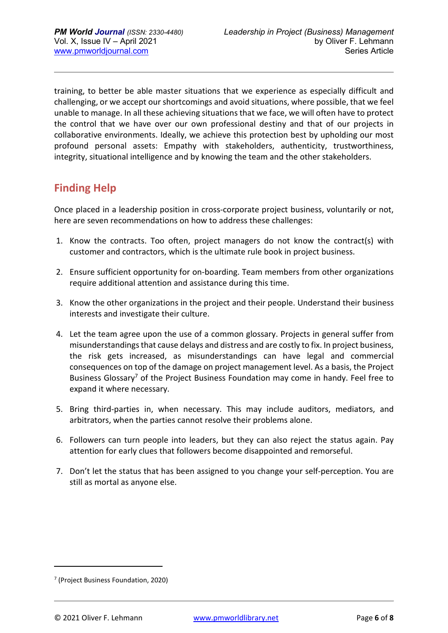training, to better be able master situations that we experience as especially difficult and challenging, or we accept our shortcomings and avoid situations, where possible, that we feel unable to manage. In all these achieving situations that we face, we will often have to protect the control that we have over our own professional destiny and that of our projects in collaborative environments. Ideally, we achieve this protection best by upholding our most profound personal assets: Empathy with stakeholders, authenticity, trustworthiness, integrity, situational intelligence and by knowing the team and the other stakeholders.

## **Finding Help**

Once placed in a leadership position in cross-corporate project business, voluntarily or not, here are seven recommendations on how to address these challenges:

- 1. Know the contracts. Too often, project managers do not know the contract(s) with customer and contractors, which is the ultimate rule book in project business.
- 2. Ensure sufficient opportunity for on-boarding. Team members from other organizations require additional attention and assistance during this time.
- 3. Know the other organizations in the project and their people. Understand their business interests and investigate their culture.
- 4. Let the team agree upon the use of a common glossary. Projects in general suffer from misunderstandings that cause delays and distress and are costly to fix. In project business, the risk gets increased, as misunderstandings can have legal and commercial consequences on top of the damage on project management level. As a basis, the Project Business Glossary<sup>7</sup> of the Project Business Foundation may come in handy. Feel free to expand it where necessary.
- 5. Bring third-parties in, when necessary. This may include auditors, mediators, and arbitrators, when the parties cannot resolve their problems alone.
- 6. Followers can turn people into leaders, but they can also reject the status again. Pay attention for early clues that followers become disappointed and remorseful.
- 7. Don't let the status that has been assigned to you change your self-perception. You are still as mortal as anyone else.

<sup>7</sup> (Project Business Foundation, 2020)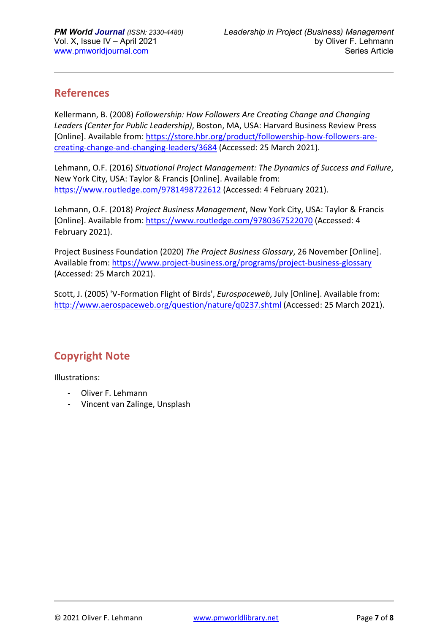## **References**

Kellermann, B. (2008) *Followership: How Followers Are Creating Change and Changing Leaders (Center for Public Leadership)*, Boston, MA, USA: Harvard Business Review Press [Online]. Available from: https://store.hbr.org/product/followership-how-followers-arecreating-change-and-changing-leaders/3684 (Accessed: 25 March 2021).

Lehmann, O.F. (2016) *Situational Project Management: The Dynamics of Success and Failure*, New York City, USA: Taylor & Francis [Online]. Available from: https://www.routledge.com/9781498722612 (Accessed: 4 February 2021).

Lehmann, O.F. (2018) *Project Business Management*, New York City, USA: Taylor & Francis [Online]. Available from: https://www.routledge.com/9780367522070 (Accessed: 4 February 2021).

Project Business Foundation (2020) *The Project Business Glossary*, 26 November [Online]. Available from: https://www.project-business.org/programs/project-business-glossary (Accessed: 25 March 2021).

Scott, J. (2005) 'V-Formation Flight of Birds', *Eurospaceweb*, July [Online]. Available from: http://www.aerospaceweb.org/question/nature/q0237.shtml (Accessed: 25 March 2021).

## **Copyright Note**

Illustrations:

- Oliver F. Lehmann
- Vincent van Zalinge, Unsplash